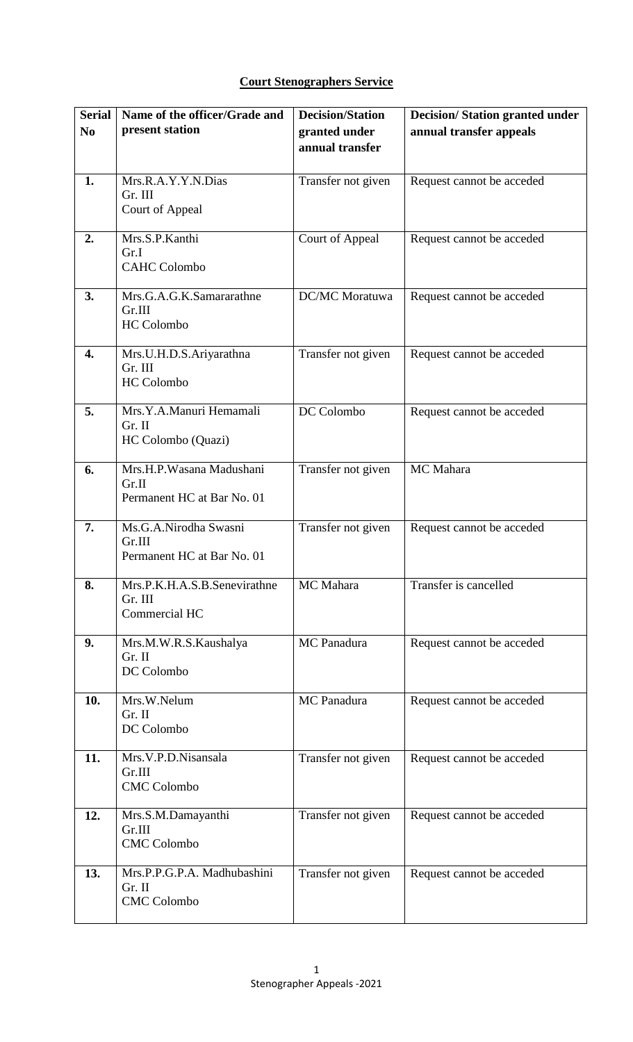## **Court Stenographers Service**

| <b>Serial</b>  | Name of the officer/Grade and<br>present station                | <b>Decision/Station</b>          | <b>Decision/Station granted under</b> |
|----------------|-----------------------------------------------------------------|----------------------------------|---------------------------------------|
| N <sub>0</sub> |                                                                 | granted under<br>annual transfer | annual transfer appeals               |
|                |                                                                 |                                  |                                       |
| 1.             | Mrs.R.A.Y.Y.N.Dias<br>Gr. III<br>Court of Appeal                | Transfer not given               | Request cannot be acceded             |
| 2.             | Mrs.S.P.Kanthi<br>Gr.I<br><b>CAHC Colombo</b>                   | Court of Appeal                  | Request cannot be acceded             |
| 3.             | Mrs.G.A.G.K.Samararathne<br>Gr.III<br><b>HC</b> Colombo         | DC/MC Moratuwa                   | Request cannot be acceded             |
| 4.             | Mrs.U.H.D.S.Ariyarathna<br>Gr. III<br><b>HC</b> Colombo         | Transfer not given               | Request cannot be acceded             |
| 5.             | Mrs.Y.A.Manuri Hemamali<br>Gr. II<br>HC Colombo (Quazi)         | DC Colombo                       | Request cannot be acceded             |
| 6.             | Mrs.H.P.Wasana Madushani<br>Gr.II<br>Permanent HC at Bar No. 01 | Transfer not given               | MC Mahara                             |
| 7.             | Ms.G.A.Nirodha Swasni<br>Gr.III<br>Permanent HC at Bar No. 01   | Transfer not given               | Request cannot be acceded             |
| 8.             | Mrs.P.K.H.A.S.B.Senevirathne<br>Gr. III<br>Commercial HC        | MC Mahara                        | Transfer is cancelled                 |
| 9.             | Mrs.M.W.R.S.Kaushalya<br>Gr. II<br>DC Colombo                   | MC Panadura                      | Request cannot be acceded             |
| 10.            | Mrs.W.Nelum<br>Gr. II<br>DC Colombo                             | <b>MC</b> Panadura               | Request cannot be acceded             |
| 11.            | Mrs.V.P.D.Nisansala<br>Gr.III<br><b>CMC Colombo</b>             | Transfer not given               | Request cannot be acceded             |
| 12.            | Mrs.S.M.Damayanthi<br>Gr.III<br><b>CMC Colombo</b>              | Transfer not given               | Request cannot be acceded             |
| 13.            | Mrs.P.P.G.P.A. Madhubashini<br>Gr. II<br><b>CMC</b> Colombo     | Transfer not given               | Request cannot be acceded             |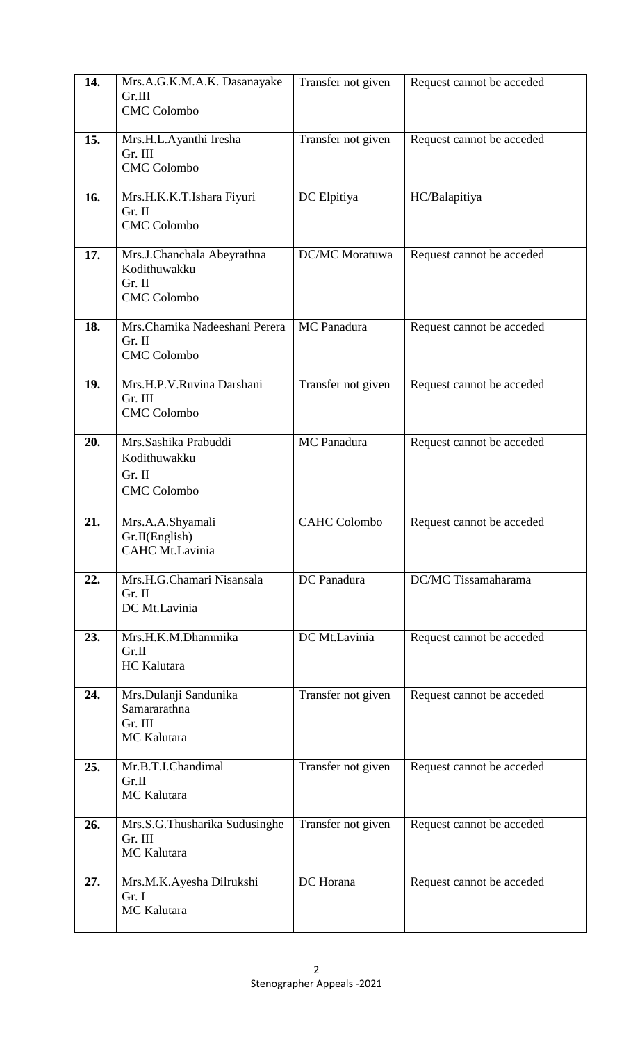| 14. | Mrs.A.G.K.M.A.K. Dasanayake<br>Gr.III<br><b>CMC Colombo</b>                | Transfer not given    | Request cannot be acceded |
|-----|----------------------------------------------------------------------------|-----------------------|---------------------------|
| 15. | Mrs.H.L.Ayanthi Iresha<br>Gr. III<br><b>CMC Colombo</b>                    | Transfer not given    | Request cannot be acceded |
| 16. | Mrs.H.K.K.T.Ishara Fiyuri<br>Gr. II<br><b>CMC Colombo</b>                  | DC Elpitiya           | HC/Balapitiya             |
| 17. | Mrs.J.Chanchala Abeyrathna<br>Kodithuwakku<br>Gr. II<br><b>CMC Colombo</b> | <b>DC/MC</b> Moratuwa | Request cannot be acceded |
| 18. | Mrs.Chamika Nadeeshani Perera<br>Gr. II<br><b>CMC</b> Colombo              | MC Panadura           | Request cannot be acceded |
| 19. | Mrs.H.P.V.Ruvina Darshani<br>Gr. III<br><b>CMC</b> Colombo                 | Transfer not given    | Request cannot be acceded |
| 20. | Mrs.Sashika Prabuddi<br>Kodithuwakku<br>Gr. II<br><b>CMC Colombo</b>       | MC Panadura           | Request cannot be acceded |
| 21. | Mrs.A.A.Shyamali<br>Gr.II(English)<br><b>CAHC Mt.Lavinia</b>               | <b>CAHC Colombo</b>   | Request cannot be acceded |
| 22. | Mrs.H.G.Chamari Nisansala<br>Gr. II<br>DC Mt.Lavinia                       | DC Panadura           | DC/MC Tissamaharama       |
| 23. | Mrs.H.K.M.Dhammika<br>Gr.II<br><b>HC</b> Kalutara                          | DC Mt.Lavinia         | Request cannot be acceded |
| 24. | Mrs.Dulanji Sandunika<br>Samararathna<br>Gr. III<br><b>MC</b> Kalutara     | Transfer not given    | Request cannot be acceded |
| 25. | Mr.B.T.I.Chandimal<br>Gr.II<br><b>MC</b> Kalutara                          | Transfer not given    | Request cannot be acceded |
| 26. | Mrs.S.G.Thusharika Sudusinghe<br>Gr. III<br><b>MC</b> Kalutara             | Transfer not given    | Request cannot be acceded |
| 27. | Mrs.M.K.Ayesha Dilrukshi<br>Gr. I<br><b>MC</b> Kalutara                    | DC Horana             | Request cannot be acceded |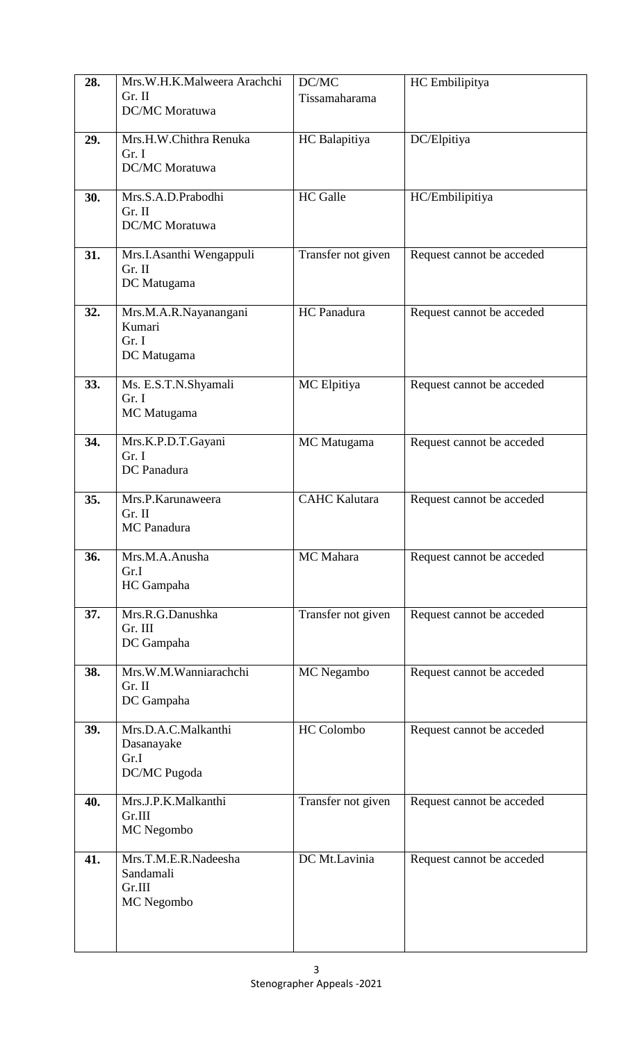| 28. | Mrs.W.H.K.Malweera Arachchi<br>Gr. II<br><b>DC/MC</b> Moratuwa | DC/MC<br>Tissamaharama | HC Embilipitya            |
|-----|----------------------------------------------------------------|------------------------|---------------------------|
| 29. | Mrs.H.W.Chithra Renuka<br>Gr. I<br>DC/MC Moratuwa              | HC Balapitiya          | DC/Elpitiya               |
| 30. | Mrs.S.A.D.Prabodhi<br>Gr. II<br>DC/MC Moratuwa                 | <b>HC</b> Galle        | HC/Embilipitiya           |
| 31. | Mrs.I.Asanthi Wengappuli<br>Gr. II<br>DC Matugama              | Transfer not given     | Request cannot be acceded |
| 32. | Mrs.M.A.R.Nayanangani<br>Kumari<br>Gr. I<br>DC Matugama        | HC Panadura            | Request cannot be acceded |
| 33. | Ms. E.S.T.N.Shyamali<br>Gr. I<br>MC Matugama                   | MC Elpitiya            | Request cannot be acceded |
| 34. | Mrs.K.P.D.T.Gayani<br>Gr. I<br>DC Panadura                     | MC Matugama            | Request cannot be acceded |
| 35. | Mrs.P.Karunaweera<br>Gr. II<br><b>MC</b> Panadura              | <b>CAHC</b> Kalutara   | Request cannot be acceded |
| 36. | Mrs.M.A.Anusha<br>Gr.I<br>HC Gampaha                           | MC Mahara              | Request cannot be acceded |
| 37. | Mrs.R.G.Danushka<br>Gr. III<br>DC Gampaha                      | Transfer not given     | Request cannot be acceded |
| 38. | Mrs.W.M.Wanniarachchi<br>Gr. II<br>DC Gampaha                  | MC Negambo             | Request cannot be acceded |
| 39. | Mrs.D.A.C.Malkanthi<br>Dasanayake<br>Gr.I<br>DC/MC Pugoda      | <b>HC</b> Colombo      | Request cannot be acceded |
| 40. | Mrs.J.P.K.Malkanthi<br>Gr.III<br>MC Negombo                    | Transfer not given     | Request cannot be acceded |
| 41. | Mrs.T.M.E.R.Nadeesha<br>Sandamali<br>Gr.III<br>MC Negombo      | DC Mt.Lavinia          | Request cannot be acceded |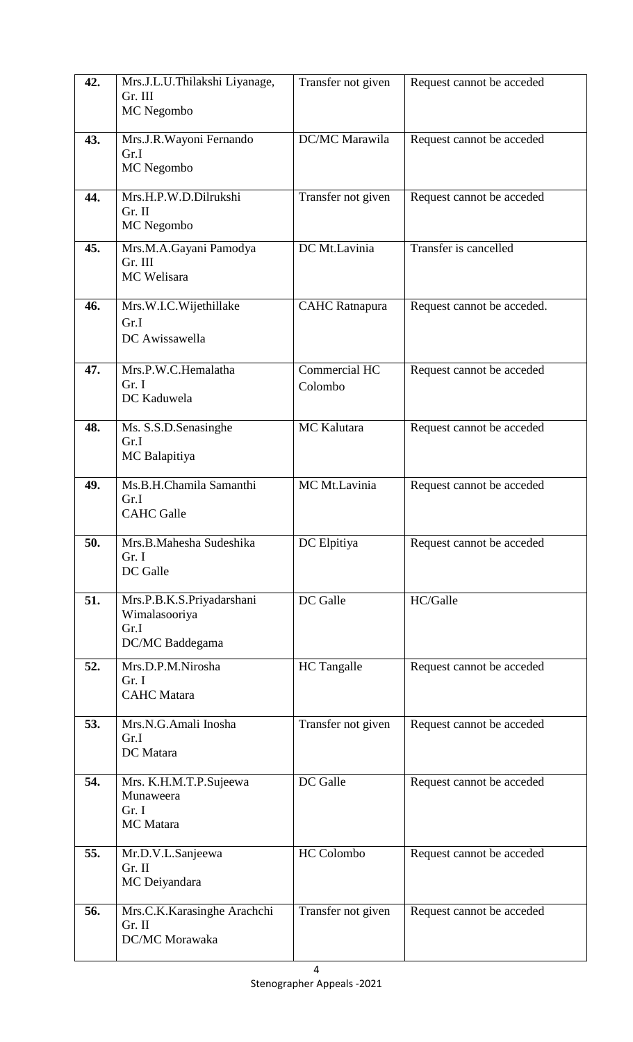| 42. | Mrs.J.L.U.Thilakshi Liyanage,<br>Gr. III<br>MC Negombo                | Transfer not given       | Request cannot be acceded  |
|-----|-----------------------------------------------------------------------|--------------------------|----------------------------|
| 43. | Mrs.J.R.Wayoni Fernando<br>Gr.I<br>MC Negombo                         | DC/MC Marawila           | Request cannot be acceded  |
| 44. | Mrs.H.P.W.D.Dilrukshi<br>Gr. II<br>MC Negombo                         | Transfer not given       | Request cannot be acceded  |
| 45. | Mrs.M.A.Gayani Pamodya<br>Gr. III<br>MC Welisara                      | DC Mt.Lavinia            | Transfer is cancelled      |
| 46. | Mrs.W.I.C.Wijethillake<br>Gr.I<br>DC Awissawella                      | <b>CAHC</b> Ratnapura    | Request cannot be acceded. |
| 47. | Mrs.P.W.C.Hemalatha<br>Gr. I<br>DC Kaduwela                           | Commercial HC<br>Colombo | Request cannot be acceded  |
| 48. | Ms. S.S.D.Senasinghe<br>Gr.I<br>MC Balapitiya                         | MC Kalutara              | Request cannot be acceded  |
| 49. | Ms.B.H.Chamila Samanthi<br>Gr.I<br><b>CAHC</b> Galle                  | MC Mt.Lavinia            | Request cannot be acceded  |
| 50. | Mrs.B.Mahesha Sudeshika<br>Gr. I<br>DC Galle                          | DC Elpitiya              | Request cannot be acceded  |
| 51. | Mrs.P.B.K.S.Priyadarshani<br>Wimalasooriya<br>Gr.I<br>DC/MC Baddegama | DC Galle                 | HC/Galle                   |
| 52. | Mrs.D.P.M.Nirosha<br>Gr. I<br><b>CAHC</b> Matara                      | <b>HC</b> Tangalle       | Request cannot be acceded  |
| 53. | Mrs.N.G.Amali Inosha<br>Gr.I<br>DC Matara                             | Transfer not given       | Request cannot be acceded  |
| 54. | Mrs. K.H.M.T.P.Sujeewa<br>Munaweera<br>Gr. I<br><b>MC</b> Matara      | DC Galle                 | Request cannot be acceded  |
| 55. | Mr.D.V.L.Sanjeewa<br>Gr. II<br>MC Deiyandara                          | HC Colombo               | Request cannot be acceded  |
| 56. | Mrs.C.K.Karasinghe Arachchi<br>Gr. II<br>DC/MC Morawaka               | Transfer not given       | Request cannot be acceded  |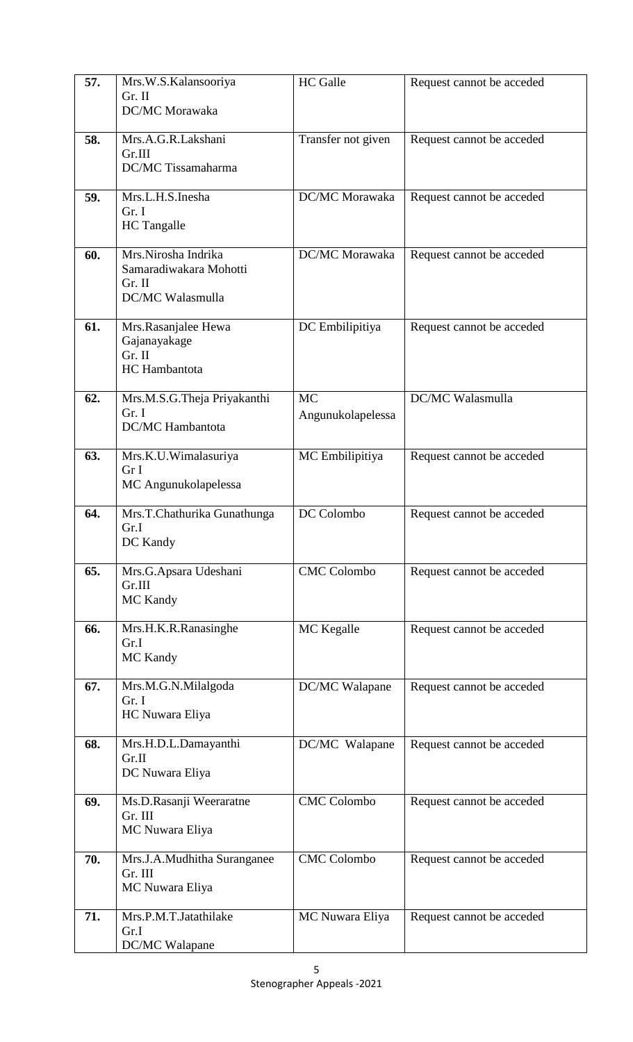| 57. | Mrs.W.S.Kalansooriya<br>Gr. II<br>DC/MC Morawaka                            | <b>HC</b> Galle                | Request cannot be acceded |
|-----|-----------------------------------------------------------------------------|--------------------------------|---------------------------|
| 58. | Mrs.A.G.R.Lakshani<br>Gr.III<br>DC/MC Tissamaharma                          | Transfer not given             | Request cannot be acceded |
| 59. | Mrs.L.H.S.Inesha<br>Gr. I<br><b>HC</b> Tangalle                             | DC/MC Morawaka                 | Request cannot be acceded |
| 60. | Mrs.Nirosha Indrika<br>Samaradiwakara Mohotti<br>Gr. II<br>DC/MC Walasmulla | DC/MC Morawaka                 | Request cannot be acceded |
| 61. | Mrs.Rasanjalee Hewa<br>Gajanayakage<br>Gr. II<br><b>HC</b> Hambantota       | DC Embilipitiya                | Request cannot be acceded |
| 62. | Mrs.M.S.G.Theja Priyakanthi<br>Gr. I<br><b>DC/MC</b> Hambantota             | <b>MC</b><br>Angunukolapelessa | DC/MC Walasmulla          |
| 63. | Mrs.K.U.Wimalasuriya<br>Gr I<br>MC Angunukolapelessa                        | MC Embilipitiya                | Request cannot be acceded |
| 64. | Mrs.T.Chathurika Gunathunga<br>Gr.I<br>DC Kandy                             | DC Colombo                     | Request cannot be acceded |
| 65. | Mrs.G.Apsara Udeshani<br>Gr.III<br><b>MC Kandy</b>                          | <b>CMC</b> Colombo             | Request cannot be acceded |
| 66. | Mrs.H.K.R.Ranasinghe<br>Gr.I<br><b>MC</b> Kandy                             | MC Kegalle                     | Request cannot be acceded |
| 67. | Mrs.M.G.N.Milalgoda<br>Gr. I<br>HC Nuwara Eliya                             | DC/MC Walapane                 | Request cannot be acceded |
| 68. | Mrs.H.D.L.Damayanthi<br>Gr.II<br>DC Nuwara Eliya                            | DC/MC Walapane                 | Request cannot be acceded |
| 69. | Ms.D.Rasanji Weeraratne<br>Gr. III<br>MC Nuwara Eliya                       | <b>CMC</b> Colombo             | Request cannot be acceded |
| 70. | Mrs.J.A.Mudhitha Suranganee<br>Gr. III<br>MC Nuwara Eliya                   | <b>CMC</b> Colombo             | Request cannot be acceded |
| 71. | Mrs.P.M.T.Jatathilake<br>Gr.I<br>DC/MC Walapane                             | MC Nuwara Eliya                | Request cannot be acceded |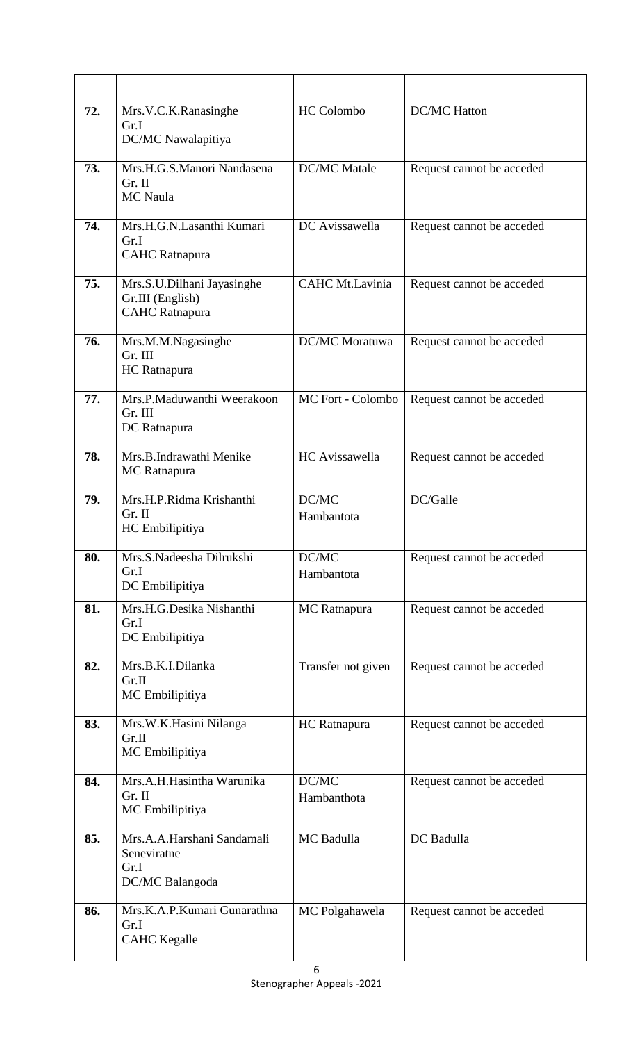| 72. | Mrs.V.C.K.Ranasinghe<br>Gr.I<br>DC/MC Nawalapitiya                      | <b>HC</b> Colombo      | <b>DC/MC</b> Hatton       |
|-----|-------------------------------------------------------------------------|------------------------|---------------------------|
| 73. | Mrs.H.G.S.Manori Nandasena<br>Gr. II<br>MC Naula                        | <b>DC/MC</b> Matale    | Request cannot be acceded |
| 74. | Mrs.H.G.N.Lasanthi Kumari<br>Gr.I<br><b>CAHC</b> Ratnapura              | DC Avissawella         | Request cannot be acceded |
| 75. | Mrs.S.U.Dilhani Jayasinghe<br>Gr.III (English)<br><b>CAHC</b> Ratnapura | <b>CAHC Mt.Lavinia</b> | Request cannot be acceded |
| 76. | Mrs.M.M.Nagasinghe<br>Gr. III<br>HC Ratnapura                           | <b>DC/MC</b> Moratuwa  | Request cannot be acceded |
| 77. | Mrs.P.Maduwanthi Weerakoon<br>Gr. III<br>DC Ratnapura                   | MC Fort - Colombo      | Request cannot be acceded |
| 78. | Mrs.B.Indrawathi Menike<br>MC Ratnapura                                 | HC Avissawella         | Request cannot be acceded |
| 79. | Mrs.H.P.Ridma Krishanthi<br>Gr. II<br>HC Embilipitiya                   | DC/MC<br>Hambantota    | DC/Galle                  |
| 80. | Mrs.S.Nadeesha Dilrukshi<br>Gr.I<br>DC Embilipitiya                     | DC/MC<br>Hambantota    | Request cannot be acceded |
| 81. | Mrs.H.G.Desika Nishanthi<br>Gr.I<br>DC Embilipitiya                     | <b>MC</b> Ratnapura    | Request cannot be acceded |
| 82. | Mrs.B.K.I.Dilanka<br>Gr.II<br>MC Embilipitiya                           | Transfer not given     | Request cannot be acceded |
| 83. | Mrs.W.K.Hasini Nilanga<br>Gr.II<br>MC Embilipitiya                      | HC Ratnapura           | Request cannot be acceded |
| 84. | Mrs.A.H.Hasintha Warunika<br>Gr. II<br>MC Embilipitiya                  | DC/MC<br>Hambanthota   | Request cannot be acceded |
| 85. | Mrs.A.A.Harshani Sandamali<br>Seneviratne<br>Gr.I<br>DC/MC Balangoda    | MC Badulla             | DC Badulla                |
| 86. | Mrs.K.A.P.Kumari Gunarathna<br>Gr.I<br><b>CAHC</b> Kegalle              | MC Polgahawela         | Request cannot be acceded |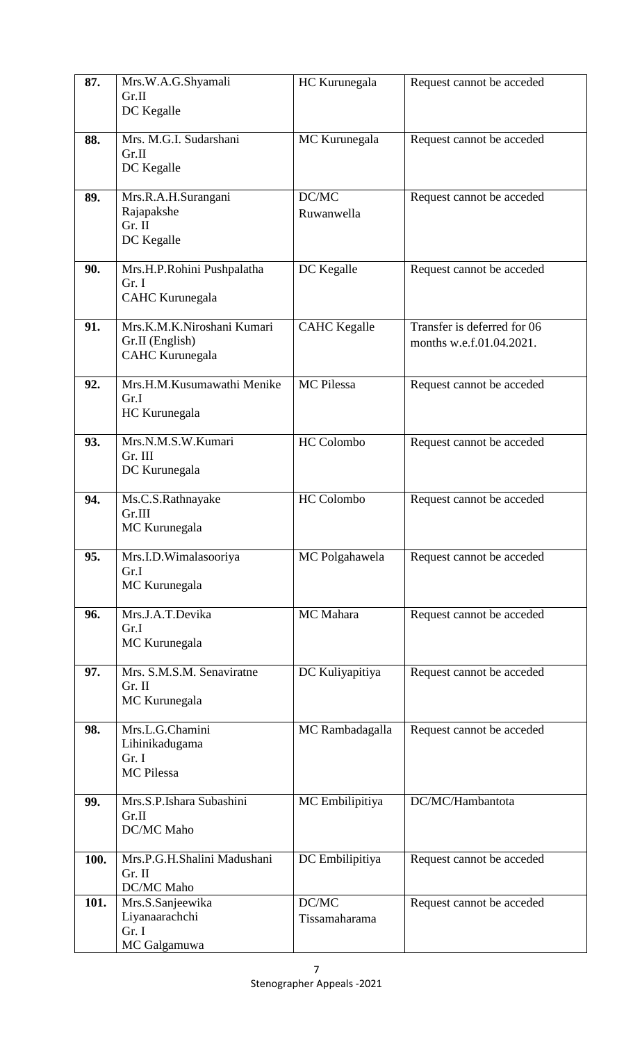| 87.  | Mrs.W.A.G.Shyamali<br>Gr.II<br>DC Kegalle                               | HC Kurunegala          | Request cannot be acceded                               |
|------|-------------------------------------------------------------------------|------------------------|---------------------------------------------------------|
| 88.  | Mrs. M.G.I. Sudarshani<br>Gr.II<br>DC Kegalle                           | MC Kurunegala          | Request cannot be acceded                               |
| 89.  | Mrs.R.A.H.Surangani<br>Rajapakshe<br>Gr. II<br>DC Kegalle               | DC/MC<br>Ruwanwella    | Request cannot be acceded                               |
| 90.  | Mrs.H.P.Rohini Pushpalatha<br>Gr. I<br><b>CAHC Kurunegala</b>           | DC Kegalle             | Request cannot be acceded                               |
| 91.  | Mrs.K.M.K.Niroshani Kumari<br>Gr.II (English)<br><b>CAHC</b> Kurunegala | <b>CAHC</b> Kegalle    | Transfer is deferred for 06<br>months w.e.f.01.04.2021. |
| 92.  | Mrs.H.M.Kusumawathi Menike<br>Gr.I<br>HC Kurunegala                     | MC Pilessa             | Request cannot be acceded                               |
| 93.  | Mrs.N.M.S.W.Kumari<br>Gr. III<br>DC Kurunegala                          | <b>HC</b> Colombo      | Request cannot be acceded                               |
| 94.  | Ms.C.S.Rathnayake<br>Gr.III<br>MC Kurunegala                            | HC Colombo             | Request cannot be acceded                               |
| 95.  | Mrs.I.D.Wimalasooriya<br>Gr.I<br>MC Kurunegala                          | MC Polgahawela         | Request cannot be acceded                               |
| 96.  | Mrs.J.A.T.Devika<br>Gr.I<br>MC Kurunegala                               | MC Mahara              | Request cannot be acceded                               |
| 97.  | Mrs. S.M.S.M. Senaviratne<br>Gr. II<br>MC Kurunegala                    | DC Kuliyapitiya        | Request cannot be acceded                               |
| 98.  | Mrs.L.G.Chamini<br>Lihinikadugama<br>Gr. I<br><b>MC</b> Pilessa         | MC Rambadagalla        | Request cannot be acceded                               |
| 99.  | Mrs.S.P.Ishara Subashini<br>Gr.II<br>DC/MC Maho                         | MC Embilipitiya        | DC/MC/Hambantota                                        |
| 100. | Mrs.P.G.H.Shalini Madushani<br>Gr. II<br>DC/MC Maho                     | DC Embilipitiya        | Request cannot be acceded                               |
| 101. | Mrs.S.Sanjeewika<br>Liyanaarachchi<br>Gr. I<br>MC Galgamuwa             | DC/MC<br>Tissamaharama | Request cannot be acceded                               |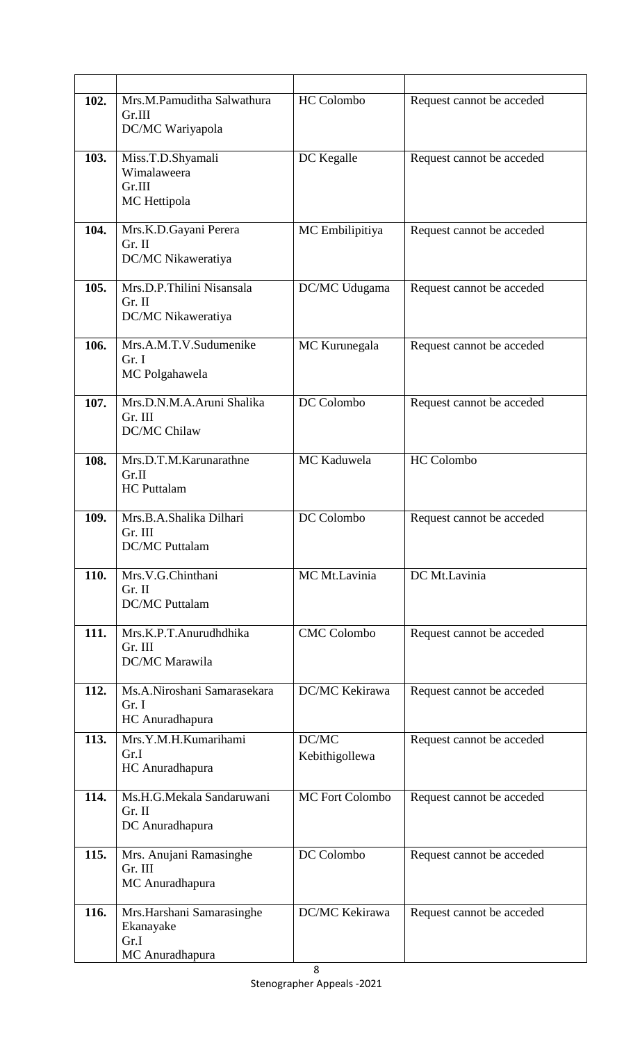| 102. | Mrs.M.Pamuditha Salwathura           | <b>HC</b> Colombo     | Request cannot be acceded |
|------|--------------------------------------|-----------------------|---------------------------|
|      | Gr.III<br>DC/MC Wariyapola           |                       |                           |
|      |                                      |                       |                           |
| 103. | Miss.T.D.Shyamali                    | DC Kegalle            | Request cannot be acceded |
|      | Wimalaweera<br>Gr.III                |                       |                           |
|      | MC Hettipola                         |                       |                           |
|      |                                      |                       |                           |
| 104. | Mrs.K.D.Gayani Perera<br>Gr. II      | MC Embilipitiya       | Request cannot be acceded |
|      | DC/MC Nikaweratiya                   |                       |                           |
| 105. | Mrs.D.P.Thilini Nisansala            | DC/MC Udugama         | Request cannot be acceded |
|      | Gr. II                               |                       |                           |
|      | DC/MC Nikaweratiya                   |                       |                           |
| 106. | Mrs.A.M.T.V.Sudumenike               | MC Kurunegala         | Request cannot be acceded |
|      | Gr. I                                |                       |                           |
|      | MC Polgahawela                       |                       |                           |
| 107. | Mrs.D.N.M.A.Aruni Shalika            | DC Colombo            | Request cannot be acceded |
|      | Gr. III                              |                       |                           |
|      | DC/MC Chilaw                         |                       |                           |
| 108. | Mrs.D.T.M.Karunarathne               | MC Kaduwela           | <b>HC</b> Colombo         |
|      | Gr.II                                |                       |                           |
|      | <b>HC</b> Puttalam                   |                       |                           |
| 109. | Mrs.B.A.Shalika Dilhari              | DC Colombo            | Request cannot be acceded |
|      | Gr. III<br><b>DC/MC</b> Puttalam     |                       |                           |
|      |                                      |                       |                           |
| 110. | Mrs.V.G.Chinthani                    | MC Mt.Lavinia         | DC Mt.Lavinia             |
|      | Gr. II<br><b>DC/MC</b> Puttalam      |                       |                           |
|      |                                      |                       |                           |
| 111. | Mrs.K.P.T.Anurudhdhika               | <b>CMC Colombo</b>    | Request cannot be acceded |
|      | Gr. III<br>DC/MC Marawila            |                       |                           |
|      |                                      |                       |                           |
| 112. | Ms.A.Niroshani Samarasekara<br>Gr. I | DC/MC Kekirawa        | Request cannot be acceded |
|      | HC Anuradhapura                      |                       |                           |
| 113. | Mrs.Y.M.H.Kumarihami                 | DC/MC                 | Request cannot be acceded |
|      | Gr.I                                 | Kebithigollewa        |                           |
|      | HC Anuradhapura                      |                       |                           |
| 114. | Ms.H.G.Mekala Sandaruwani            | MC Fort Colombo       | Request cannot be acceded |
|      | Gr. II<br>DC Anuradhapura            |                       |                           |
|      |                                      |                       |                           |
| 115. | Mrs. Anujani Ramasinghe              | DC Colombo            | Request cannot be acceded |
|      | Gr. III<br>MC Anuradhapura           |                       |                           |
|      |                                      |                       |                           |
| 116. | Mrs.Harshani Samarasinghe            | <b>DC/MC Kekirawa</b> | Request cannot be acceded |
|      | Ekanayake<br>Gr.I                    |                       |                           |
|      | MC Anuradhapura                      |                       |                           |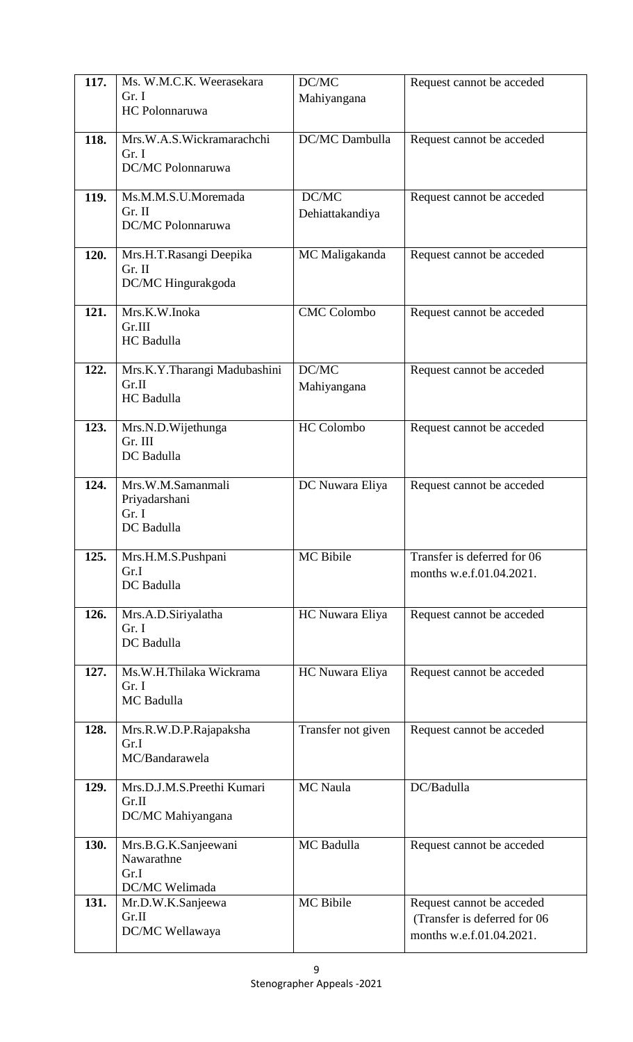| 117. | Ms. W.M.C.K. Weerasekara<br>Gr. I<br>HC Polonnaruwa          | $\overline{DC}/MC$<br>Mahiyangana | Request cannot be acceded                                                             |
|------|--------------------------------------------------------------|-----------------------------------|---------------------------------------------------------------------------------------|
| 118. | Mrs.W.A.S.Wickramarachchi<br>Gr. I<br>DC/MC Polonnaruwa      | DC/MC Dambulla                    | Request cannot be acceded                                                             |
| 119. | Ms.M.M.S.U.Moremada<br>Gr. II<br>DC/MC Polonnaruwa           | DC/MC<br>Dehiattakandiya          | Request cannot be acceded                                                             |
| 120. | Mrs.H.T.Rasangi Deepika<br>Gr. II<br>DC/MC Hingurakgoda      | MC Maligakanda                    | Request cannot be acceded                                                             |
| 121. | Mrs.K.W.Inoka<br>Gr.III<br><b>HC</b> Badulla                 | <b>CMC</b> Colombo                | Request cannot be acceded                                                             |
| 122. | Mrs.K.Y.Tharangi Madubashini<br>Gr.II<br>HC Badulla          | DC/MC<br>Mahiyangana              | Request cannot be acceded                                                             |
| 123. | Mrs.N.D.Wijethunga<br>Gr. III<br>DC Badulla                  | HC Colombo                        | Request cannot be acceded                                                             |
| 124. | Mrs.W.M.Samanmali<br>Priyadarshani<br>Gr. I<br>DC Badulla    | DC Nuwara Eliya                   | Request cannot be acceded                                                             |
| 125. | Mrs.H.M.S.Pushpani<br>Gr.I<br>DC Badulla                     | MC Bibile                         | Transfer is deferred for 06<br>months w.e.f.01.04.2021.                               |
| 126. | Mrs.A.D.Siriyalatha<br>Gr. I<br>DC Badulla                   | HC Nuwara Eliya                   | Request cannot be acceded                                                             |
| 127. | Ms.W.H.Thilaka Wickrama<br>Gr. I<br>MC Badulla               | HC Nuwara Eliya                   | Request cannot be acceded                                                             |
| 128. | Mrs.R.W.D.P.Rajapaksha<br>Gr.I<br>MC/Bandarawela             | Transfer not given                | Request cannot be acceded                                                             |
| 129. | Mrs.D.J.M.S.Preethi Kumari<br>Gr.II<br>DC/MC Mahiyangana     | <b>MC</b> Naula                   | DC/Badulla                                                                            |
| 130. | Mrs.B.G.K.Sanjeewani<br>Nawarathne<br>Gr.I<br>DC/MC Welimada | MC Badulla                        | Request cannot be acceded                                                             |
| 131. | Mr.D.W.K.Sanjeewa<br>Gr.II<br>DC/MC Wellawaya                | MC Bibile                         | Request cannot be acceded<br>(Transfer is deferred for 06<br>months w.e.f.01.04.2021. |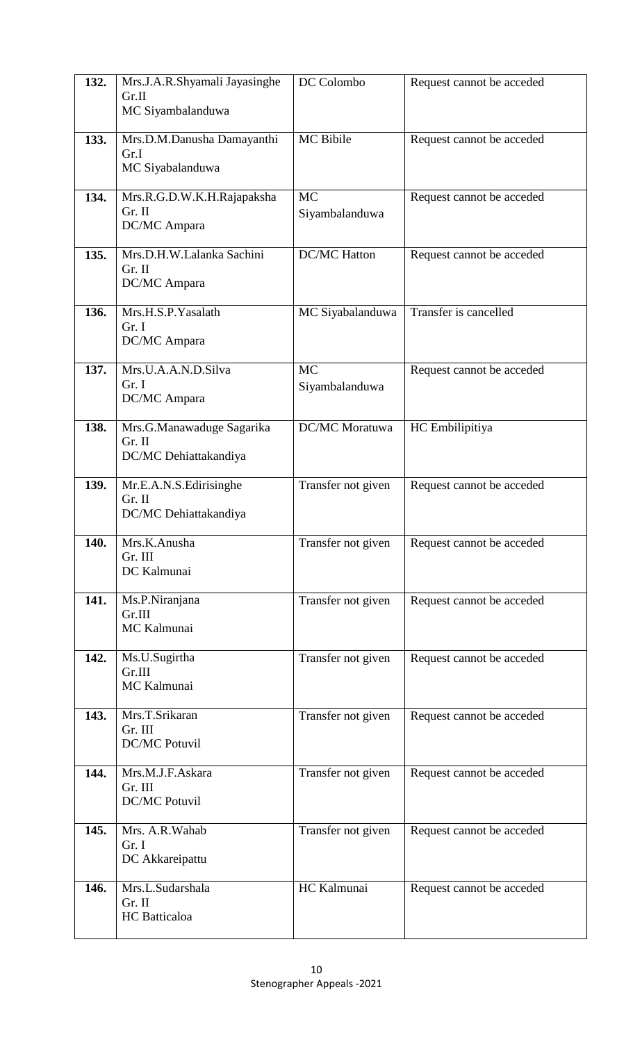| 132. | Mrs.J.A.R.Shyamali Jayasinghe<br>Gr.II<br>MC Siyambalanduwa  | DC Colombo                  | Request cannot be acceded |
|------|--------------------------------------------------------------|-----------------------------|---------------------------|
| 133. | Mrs.D.M.Danusha Damayanthi<br>Gr.I<br>MC Siyabalanduwa       | MC Bibile                   | Request cannot be acceded |
| 134. | Mrs.R.G.D.W.K.H.Rajapaksha<br>$Gr.$ II<br>DC/MC Ampara       | <b>MC</b><br>Siyambalanduwa | Request cannot be acceded |
| 135. | Mrs.D.H.W.Lalanka Sachini<br>Gr. II<br>DC/MC Ampara          | <b>DC/MC Hatton</b>         | Request cannot be acceded |
| 136. | Mrs.H.S.P.Yasalath<br>Gr. I<br>DC/MC Ampara                  | MC Siyabalanduwa            | Transfer is cancelled     |
| 137. | Mrs.U.A.A.N.D.Silva<br>Gr. I<br>DC/MC Ampara                 | <b>MC</b><br>Siyambalanduwa | Request cannot be acceded |
| 138. | Mrs.G.Manawaduge Sagarika<br>Gr. II<br>DC/MC Dehiattakandiya | DC/MC Moratuwa              | HC Embilipitiya           |
| 139. | Mr.E.A.N.S.Edirisinghe<br>$Gr.$ II<br>DC/MC Dehiattakandiya  | Transfer not given          | Request cannot be acceded |
| 140. | Mrs.K.Anusha<br>Gr. III<br>DC Kalmunai                       | Transfer not given          | Request cannot be acceded |
| 141. | Ms.P.Niranjana<br>Gr.III<br>MC Kalmunai                      | Transfer not given          | Request cannot be acceded |
| 142. | Ms.U.Sugirtha<br>Gr.III<br>MC Kalmunai                       | Transfer not given          | Request cannot be acceded |
| 143. | Mrs.T.Srikaran<br>Gr. III<br><b>DC/MC Potuvil</b>            | Transfer not given          | Request cannot be acceded |
| 144. | Mrs.M.J.F.Askara<br>Gr. III<br><b>DC/MC Potuvil</b>          | Transfer not given          | Request cannot be acceded |
| 145. | Mrs. A.R. Wahab<br>Gr. I<br>DC Akkareipattu                  | Transfer not given          | Request cannot be acceded |
| 146. | Mrs.L.Sudarshala<br>Gr. II<br><b>HC</b> Batticaloa           | HC Kalmunai                 | Request cannot be acceded |